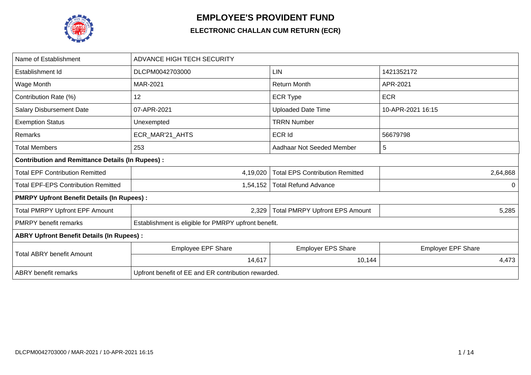

## **EMPLOYEE'S PROVIDENT FUND**

## **ELECTRONIC CHALLAN CUM RETURN (ECR)**

| Name of Establishment                                   | <b>ADVANCE HIGH TECH SECURITY</b>                    |                                        |                           |  |  |  |  |  |  |  |
|---------------------------------------------------------|------------------------------------------------------|----------------------------------------|---------------------------|--|--|--|--|--|--|--|
| Establishment Id                                        | DLCPM0042703000                                      | LIN                                    | 1421352172                |  |  |  |  |  |  |  |
| Wage Month                                              | MAR-2021                                             | <b>Return Month</b>                    | APR-2021                  |  |  |  |  |  |  |  |
| Contribution Rate (%)                                   | 12                                                   | <b>ECR Type</b>                        | <b>ECR</b>                |  |  |  |  |  |  |  |
| <b>Salary Disbursement Date</b>                         | 07-APR-2021                                          | <b>Uploaded Date Time</b>              | 10-APR-2021 16:15         |  |  |  |  |  |  |  |
| <b>Exemption Status</b>                                 | Unexempted                                           | <b>TRRN Number</b>                     |                           |  |  |  |  |  |  |  |
| Remarks                                                 | ECR_MAR'21_AHTS                                      | <b>ECR Id</b>                          | 56679798                  |  |  |  |  |  |  |  |
| <b>Total Members</b>                                    | 253                                                  | Aadhaar Not Seeded Member              | 5                         |  |  |  |  |  |  |  |
| <b>Contribution and Remittance Details (In Rupees):</b> |                                                      |                                        |                           |  |  |  |  |  |  |  |
| <b>Total EPF Contribution Remitted</b>                  | 4,19,020                                             | <b>Total EPS Contribution Remitted</b> | 2,64,868                  |  |  |  |  |  |  |  |
| <b>Total EPF-EPS Contribution Remitted</b>              | 1,54,152                                             | <b>Total Refund Advance</b>            | $\Omega$                  |  |  |  |  |  |  |  |
| <b>PMRPY Upfront Benefit Details (In Rupees):</b>       |                                                      |                                        |                           |  |  |  |  |  |  |  |
| <b>Total PMRPY Upfront EPF Amount</b>                   | 2,329                                                | <b>Total PMRPY Upfront EPS Amount</b>  | 5,285                     |  |  |  |  |  |  |  |
| <b>PMRPY benefit remarks</b>                            | Establishment is eligible for PMRPY upfront benefit. |                                        |                           |  |  |  |  |  |  |  |
| <b>ABRY Upfront Benefit Details (In Rupees):</b>        |                                                      |                                        |                           |  |  |  |  |  |  |  |
| <b>Total ABRY benefit Amount</b>                        | <b>Employee EPF Share</b>                            | <b>Employer EPS Share</b>              | <b>Employer EPF Share</b> |  |  |  |  |  |  |  |
|                                                         | 14,617                                               | 10,144                                 | 4,473                     |  |  |  |  |  |  |  |
| <b>ABRY</b> benefit remarks                             | Upfront benefit of EE and ER contribution rewarded.  |                                        |                           |  |  |  |  |  |  |  |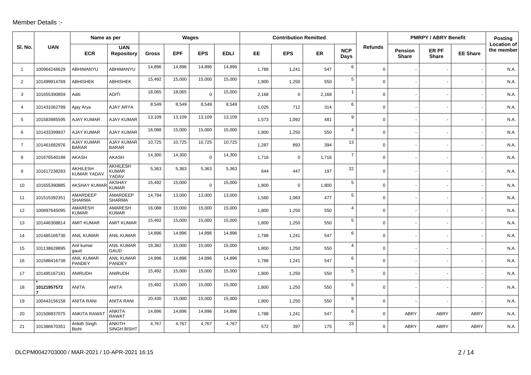## Member Details :-

|                |              | Name as per                       |                                          |              |            | Wages      |             |           | <b>Contribution Remitted</b> |           |                    |                |                                | <b>PMRPY / ABRY Benefit</b> |                 | <b>Posting</b>                   |
|----------------|--------------|-----------------------------------|------------------------------------------|--------------|------------|------------|-------------|-----------|------------------------------|-----------|--------------------|----------------|--------------------------------|-----------------------------|-----------------|----------------------------------|
| SI. No.        | <b>UAN</b>   | <b>ECR</b>                        | <b>UAN</b><br><b>Repository</b>          | <b>Gross</b> | <b>EPF</b> | <b>EPS</b> | <b>EDLI</b> | <b>EE</b> | <b>EPS</b>                   | <b>ER</b> | <b>NCP</b><br>Days | <b>Refunds</b> | <b>Pension</b><br><b>Share</b> | ER PF<br><b>Share</b>       | <b>EE Share</b> | <b>Location of</b><br>the member |
| $\overline{1}$ | 100964248629 | ABHIMANYU                         | ABHIMANYU                                | 14,896       | 14,896     | 14,896     | 14,896      | 1,788     | 1,241                        | 547       | 6                  | $\Omega$       |                                |                             |                 | N.A                              |
| $\overline{2}$ | 101499914769 | <b>ABHISHEK</b>                   | <b>ABHISHEK</b>                          | 15,492       | 15,000     | 15,000     | 15,000      | 1,800     | 1,250                        | 550       | 5                  | $\mathbf 0$    |                                |                             |                 | N.A.                             |
| 3              | 101655390859 | Aditi                             | <b>ADITI</b>                             | 18.065       | 18,065     | $\Omega$   | 15,000      | 2,168     | $\mathbf 0$                  | 2,168     | $\mathbf{1}$       | $\mathbf 0$    |                                |                             |                 | N.A.                             |
| 4              | 101431062789 | Ajay Arya                         | <b>AJAY ARYA</b>                         | 8,549        | 8,549      | 8,549      | 8,549       | 1.026     | 712                          | 314       | 6                  | $\Omega$       |                                |                             |                 | N.A.                             |
| 5              | 101583985595 | <b>AJAY KUMAR</b>                 | <b>AJAY KUMAR</b>                        | 13,109       | 13,109     | 13,109     | 13,109      | 1,573     | 1,092                        | 481       | 9                  | $\mathbf 0$    |                                |                             |                 | N.A.                             |
| 6              | 101433399937 | <b>AJAY KUMAR</b>                 | <b>AJAY KUMAR</b>                        | 16,088       | 15,000     | 15,000     | 15,000      | 1,800     | 1,250                        | 550       | $\overline{4}$     | $\mathbf 0$    |                                |                             |                 | N.A.                             |
| $\overline{7}$ | 101461682976 | <b>AJAY KUMAR</b><br><b>BARAR</b> | <b>AJAY KUMAR</b><br><b>BARAR</b>        | 10,725       | 10,725     | 10,725     | 10,725      | 1,287     | 893                          | 394       | 13                 | 0              |                                |                             |                 | N.A.                             |
| 8              | 101676540188 | AKASH                             | <b>AKASH</b>                             | 14,300       | 14,300     | $\Omega$   | 14,300      | 1,716     | $\mathbf 0$                  | 1,716     | $\overline{7}$     | $\mathbf 0$    |                                |                             |                 | N.A.                             |
| 9              | 101617238283 | AKHILESH<br><b>KUMAR YADAV</b>    | <b>AKHILESH</b><br><b>KUMAR</b><br>YADAV | 5,363        | 5,363      | 5,363      | 5,363       | 644       | 447                          | 197       | 22                 | $\mathbf 0$    |                                |                             |                 | N.A.                             |
| 10             | 101655390885 | <b>AKSHAY KUMAI</b>               | <b>AKSHAY</b><br><b>KUMAR</b>            | 15,492       | 15,000     | $\Omega$   | 15,000      | 1,800     | $\Omega$                     | 1,800     | 5                  | $\Omega$       |                                |                             |                 | N.A.                             |
| 11             | 101515392351 | AMARDEEP<br><b>SHARMA</b>         | AMARDEEP<br><b>SHARMA</b>                | 14,794       | 13,000     | 13,000     | 13,000      | 1,560     | 1,083                        | 477       | 5 <sup>5</sup>     | $\mathbf 0$    |                                |                             |                 | N.A.                             |
| 12             | 100897645095 | <b>AMARESH</b><br><b>KUMAR</b>    | <b>AMARESH</b><br><b>KUMAR</b>           | 16,088       | 15,000     | 15,000     | 15,000      | 1,800     | 1,250                        | 550       | $\overline{4}$     | $\mathbf 0$    |                                |                             |                 | N.A.                             |
| 13             | 101446308814 | <b>AMIT KUMAR</b>                 | <b>AMIT KUMAR</b>                        | 15,492       | 15,000     | 15,000     | 15,000      | 1,800     | 1,250                        | 550       | 5                  | $\Omega$       |                                |                             |                 | N.A.                             |
| 14             | 101485166730 | <b>ANIL KUMAR</b>                 | <b>ANIL KUMAR</b>                        | 14,896       | 14,896     | 14,896     | 14,896      | 1,788     | 1,241                        | 547       | 6                  | $\mathbf 0$    |                                |                             |                 | N.A.                             |
| 15             | 101138628895 | Anil kumar<br>qaud                | ANIL KUMAR<br><b>GAUD</b>                | 18,382       | 15,000     | 15,000     | 15,000      | 1.800     | 1,250                        | 550       | $\overline{4}$     | $\mathbf 0$    |                                |                             |                 | N.A.                             |
| 16             | 101588416738 | <b>ANIL KUMAR</b><br>PANDEY       | <b>ANIL KUMAR</b><br><b>PANDEY</b>       | 14,896       | 14,896     | 14,896     | 14,896      | 1,788     | 1,241                        | 547       | 6                  | $\mathbf 0$    |                                |                             |                 | N.A.                             |
| 17             | 101485167181 | ANIRUDH                           | <b>ANIRUDH</b>                           | 15,492       | 15,000     | 15,000     | 15,000      | 1,800     | 1,250                        | 550       | 5                  | $\mathbf 0$    |                                |                             |                 | N.A.                             |
| 18             | 10121957572  | <b>ANITA</b>                      | <b>ANITA</b>                             | 15,492       | 15,000     | 15,000     | 15,000      | 1,800     | 1,250                        | 550       | 5                  | $\mathbf 0$    |                                |                             |                 | N.A.                             |
| 19             | 100443156158 | <b>ANITA RANI</b>                 | <b>ANITA RANI</b>                        | 20,430       | 15,000     | 15,000     | 15,000      | 1,800     | 1,250                        | 550       | 9                  | $\mathbf 0$    |                                |                             |                 | N.A.                             |
| 20             | 101508837075 | <b>ANKITA RAWAT</b>               | <b>ANKITA</b><br><b>RAWAT</b>            | 14,896       | 14,896     | 14,896     | 14,896      | 1,788     | 1,241                        | 547       | 6                  | $\mathbf 0$    | ABRY                           | <b>ABRY</b>                 | <b>ABRY</b>     | N.A.                             |
| 21             | 101386670351 | Ankith Singh<br><b>Bisht</b>      | <b>ANKITH</b><br><b>SINGH BISHT</b>      | 4,767        | 4,767      | 4,767      | 4,767       | 572       | 397                          | 175       | 23                 | $\Omega$       | <b>ABRY</b>                    | ABRY                        | <b>ABRY</b>     | N.A.                             |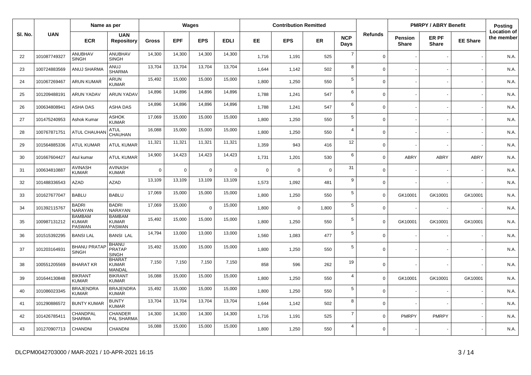|         |              | Name as per                                    |                                                |              |            | Wages      |             |             | <b>Contribution Remitted</b> |             |                    |                |                         | <b>PMRPY / ABRY Benefit</b> |                 | <b>Posting</b>                   |
|---------|--------------|------------------------------------------------|------------------------------------------------|--------------|------------|------------|-------------|-------------|------------------------------|-------------|--------------------|----------------|-------------------------|-----------------------------|-----------------|----------------------------------|
| SI. No. | <b>UAN</b>   | <b>ECR</b>                                     | <b>UAN</b><br><b>Repository</b>                | <b>Gross</b> | <b>EPF</b> | <b>EPS</b> | <b>EDLI</b> | EE.         | <b>EPS</b>                   | <b>ER</b>   | <b>NCP</b><br>Days | <b>Refunds</b> | Pension<br><b>Share</b> | ER PF<br><b>Share</b>       | <b>EE Share</b> | <b>Location of</b><br>the member |
| 22      | 101087749327 | ANUBHAV<br><b>SINGH</b>                        | ANUBHAV<br><b>SINGH</b>                        | 14,300       | 14,300     | 14,300     | 14,300      | 1,716       | 1,191                        | 525         | $\overline{7}$     | $\Omega$       |                         |                             |                 | N.A.                             |
| 23      | 100724883569 | ANUJ SHARMA                                    | ANUJ<br><b>SHARMA</b>                          | 13,704       | 13,704     | 13,704     | 13,704      | 1,644       | 1,142                        | 502         | 8                  | $\Omega$       |                         |                             |                 | N.A.                             |
| 24      | 101067269467 | <b>ARUN KUMAR</b>                              | ARUN<br><b>KUMAR</b>                           | 15,492       | 15,000     | 15,000     | 15,000      | 1,800       | 1,250                        | 550         | $5\phantom{.0}$    | $\mathbf 0$    |                         |                             |                 | N.A.                             |
| 25      | 101209488191 | <b>ARUN YADAV</b>                              | <b>ARUN YADAV</b>                              | 14,896       | 14,896     | 14,896     | 14,896      | 1,788       | 1,241                        | 547         | 6                  | $\mathbf 0$    |                         |                             |                 | N.A.                             |
| 26      | 100634808941 | ASHA DAS                                       | ASHA DAS                                       | 14,896       | 14,896     | 14,896     | 14,896      | 1,788       | 1,241                        | 547         | 6                  | $\Omega$       |                         |                             |                 | N.A.                             |
| 27      | 101475240953 | Ashok Kumar                                    | ASHOK<br><b>KUMAR</b>                          | 17,069       | 15,000     | 15,000     | 15,000      | 1,800       | 1,250                        | 550         | $\overline{5}$     | $\Omega$       |                         |                             |                 | N.A.                             |
| 28      | 100767871751 | <b>ATUL CHAUHA</b>                             | <b>ATUL</b><br>CHAUHAN                         | 16,088       | 15,000     | 15,000     | 15,000      | 1,800       | 1,250                        | 550         | $\overline{4}$     | $\Omega$       |                         |                             |                 | N.A.                             |
| 29      | 101564885336 | <b>ATUL KUMAR</b>                              | <b>ATUL KUMAR</b>                              | 11,321       | 11,321     | 11,321     | 11,321      | 1,359       | 943                          | 416         | 12                 | $\mathbf 0$    |                         |                             |                 | N.A.                             |
| 30      | 101667604427 | Atul kumar                                     | <b>ATUL KUMAR</b>                              | 14,900       | 14,423     | 14,423     | 14,423      | 1,731       | 1,201                        | 530         | 6                  | $\Omega$       | ABRY                    | <b>ABRY</b>                 | <b>ABRY</b>     | N.A.                             |
| -31     | 100634810887 | AVINASH<br><b>KUMAR</b>                        | <b>AVINASH</b><br><b>KUMAR</b>                 | $\Omega$     | $\Omega$   | $\Omega$   | $\mathbf 0$ | $\mathbf 0$ | $\Omega$                     | $\mathbf 0$ | 31                 | $\Omega$       |                         |                             |                 | N.A.                             |
| 32      | 101488336543 | <b>AZAD</b>                                    | <b>AZAD</b>                                    | 13,109       | 13,109     | 13,109     | 13,109      | 1,573       | 1,092                        | 481         | 9                  | $\Omega$       |                         |                             |                 | N.A.                             |
| 33      | 101627677047 | <b>BABLU</b>                                   | <b>BABLU</b>                                   | 17,069       | 15,000     | 15,000     | 15,000      | 1,800       | 1,250                        | 550         | $\sqrt{5}$         | $\Omega$       | GK10001                 | GK10001                     | GK10001         | N.A.                             |
| 34      | 101392115767 | <b>BADRI</b><br>NARAYAN                        | <b>BADRI</b><br>NARAYAN                        | 17,069       | 15,000     | $\Omega$   | 15,000      | 1,800       | $\mathbf 0$                  | 1,800       | 5                  | $\Omega$       |                         |                             |                 | N.A.                             |
| 35      | 100987131212 | <b>BAMBAM</b><br><b>KUMAR</b><br><b>PASWAN</b> | <b>BAMBAM</b><br><b>KUMAR</b><br><b>PASWAN</b> | 15,492       | 15,000     | 15,000     | 15,000      | 1,800       | 1,250                        | 550         | 5                  | $\Omega$       | GK10001                 | GK10001                     | GK10001         | N.A.                             |
| 36      | 101515392295 | <b>BANSILAL</b>                                | <b>BANSI LAL</b>                               | 14,794       | 13,000     | 13,000     | 13,000      | 1,560       | 1,083                        | 477         | $\sqrt{5}$         | $\Omega$       |                         |                             |                 | N.A.                             |
| 37      | 101203164931 | <b>BHANU PRATAP</b><br><b>SINGH</b>            | <b>BHANU</b><br><b>PRATAP</b><br><b>SINGH</b>  | 15,492       | 15,000     | 15,000     | 15,000      | 1,800       | 1,250                        | 550         | 5                  | $\Omega$       |                         |                             |                 | N.A.                             |
| 38      | 100551205569 | <b>BHARAT KR</b>                               | <b>BHARAT</b><br><b>KUMAR</b><br>MANDAL        | 7,150        | 7,150      | 7,150      | 7,150       | 858         | 596                          | 262         | 19                 | $\mathbf 0$    |                         |                             |                 | N.A.                             |
| 39      | 101644130848 | <b>BIKRANT</b><br><b>KUMAR</b>                 | <b>BIKRANT</b><br><b>KUMAR</b>                 | 16,088       | 15,000     | 15,000     | 15,000      | 1,800       | 1,250                        | 550         | $\overline{4}$     | $\Omega$       | GK10001                 | GK10001                     | GK10001         | N.A.                             |
| 40      | 101086023345 | <b>BRAJENDRA</b><br><b>KUMAR</b>               | <b>BRAJENDRA</b><br><b>KUMAR</b>               | 15,492       | 15,000     | 15,000     | 15,000      | 1,800       | 1,250                        | 550         | $5\phantom{.0}$    | $\mathbf 0$    |                         |                             |                 | N.A.                             |
| 41      | 101290886572 | <b>BUNTY KUMAR</b>                             | <b>BUNTY</b><br><b>KUMAR</b>                   | 13,704       | 13,704     | 13,704     | 13,704      | 1,644       | 1,142                        | 502         | 8                  | $\mathbf 0$    |                         |                             |                 | N.A.                             |
| 42      | 101426785411 | CHANDPAL<br><b>SHARMA</b>                      | CHANDER<br>PAL SHARMA                          | 14,300       | 14,300     | 14,300     | 14,300      | 1,716       | 1,191                        | 525         | $\overline{7}$     | $\Omega$       | <b>PMRPY</b>            | <b>PMRPY</b>                |                 | N.A.                             |
| 43      | 101270907713 | CHANDNI                                        | CHANDNI                                        | 16,088       | 15,000     | 15,000     | 15,000      | 1,800       | 1,250                        | 550         | $\overline{4}$     | $\Omega$       |                         |                             |                 | N.A.                             |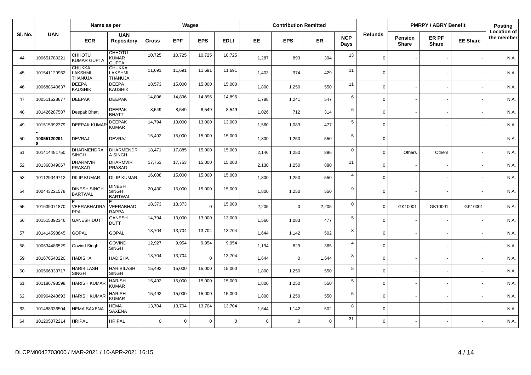|         |                  | Name as per                                |                                                 |              |            | <b>Wages</b>   |             |          | <b>Contribution Remitted</b> |             |                    |                |                                | <b>PMRPY / ABRY Benefit</b> |                 | Posting                          |
|---------|------------------|--------------------------------------------|-------------------------------------------------|--------------|------------|----------------|-------------|----------|------------------------------|-------------|--------------------|----------------|--------------------------------|-----------------------------|-----------------|----------------------------------|
| SI. No. | <b>UAN</b>       | <b>ECR</b>                                 | <b>UAN</b><br><b>Repository</b>                 | <b>Gross</b> | <b>EPF</b> | <b>EPS</b>     | <b>EDLI</b> | EE       | <b>EPS</b>                   | <b>ER</b>   | <b>NCP</b><br>Days | <b>Refunds</b> | <b>Pension</b><br><b>Share</b> | ER PF<br><b>Share</b>       | <b>EE Share</b> | <b>Location of</b><br>the member |
| 44      | 100651780221     | CHHOTU<br><b>KUMAR GUPTA</b>               | <b>CHHOTU</b><br><b>KUMAR</b><br><b>GUPTA</b>   | 10,725       | 10,725     | 10,725         | 10,725      | 1,287    | 893                          | 394         | 13                 | $\Omega$       |                                |                             |                 | N.A.                             |
| 45      | 101541129962     | <b>CHUKKA</b><br>LAKSHMI<br><b>THANUJA</b> | <b>CHUKKA</b><br>LAKSHMI<br>THANUJA             | 11,691       | 11,691     | 11,691         | 11,691      | 1,403    | 974                          | 429         | 11                 | $\Omega$       |                                |                             |                 | N.A.                             |
| 46      | 100688640637     | <b>DEEPA</b><br><b>KAUSHIK</b>             | <b>DEEPA</b><br><b>KAUSHIK</b>                  | 18,573       | 15,000     | 15,000         | 15,000      | 1,800    | 1,250                        | 550         | 11                 | $\mathbf 0$    |                                |                             |                 | N.A.                             |
| 47      | 100511528677     | <b>DEEPAK</b>                              | <b>DEEPAK</b>                                   | 14,896       | 14,896     | 14,896         | 14,896      | 1,788    | 1,241                        | 547         | 6                  | $\Omega$       |                                |                             |                 | N.A.                             |
| 48      | 101426287587     | Deepak Bhatt                               | <b>DEEPAK</b><br><b>BHATT</b>                   | 8,549        | 8,549      | 8,549          | 8,549       | 1,026    | 712                          | 314         | 6                  | $\Omega$       |                                |                             |                 | N.A.                             |
| 49      | 101515392379     | <b>DEEPAK KUMAR</b>                        | <b>DEEPAK</b><br><b>KUMAR</b>                   | 14,794       | 13,000     | 13,000         | 13,000      | 1.560    | 1,083                        | 477         | 5                  | $\Omega$       |                                |                             |                 | N.A.                             |
| 50      | 10055120291<br>R | <b>DEVRAJ</b>                              | <b>DEVRAJ</b>                                   | 15,492       | 15,000     | 15,000         | 15,000      | 1,800    | 1,250                        | 550         | 5                  | $\Omega$       |                                |                             |                 | N.A.                             |
| 51      | 101414481750     | DHARMENDRA<br><b>SINGH</b>                 | <b>DHARMENDR</b><br>A SINGH                     | 18,471       | 17,885     | 15,000         | 15,000      | 2,146    | 1,250                        | 896         | $\mathbf 0$        | $\Omega$       | Others                         | Others                      |                 | N.A.                             |
| 52      | 101368049067     | <b>DHARMVIR</b><br>PRASAD                  | <b>DHARMVIR</b><br><b>PRASAD</b>                | 17,753       | 17,753     | 15,000         | 15,000      | 2,130    | 1,250                        | 880         | 11                 | $\Omega$       |                                |                             |                 | N.A.                             |
| 53      | 101129049712     | <b>DILIP KUMAR</b>                         | <b>DILIP KUMAR</b>                              | 16,088       | 15,000     | 15,000         | 15,000      | 1,800    | 1,250                        | 550         | $\overline{4}$     | $\Omega$       |                                |                             |                 | N.A.                             |
| 54      | 100443221578     | <b>DINESH SINGH</b><br><b>BARTWAL</b>      | <b>DINESH</b><br><b>SINGH</b><br><b>BARTWAL</b> | 20,430       | 15,000     | 15,000         | 15,000      | 1,800    | 1,250                        | 550         | 9                  | $\mathbf 0$    |                                |                             |                 | N.A.                             |
| 55      | 101639071870     | VEERABHADRA<br><b>PPA</b>                  | E<br>VEERABHAD<br><b>RAPPA</b>                  | 18,373       | 18,373     | $\Omega$       | 15,000      | 2,205    | 0                            | 2,205       | $\mathbf 0$        | $\Omega$       | GK10001                        | GK10001                     | GK10001         | N.A.                             |
| 56      | 101515392346     | <b>GANESH DUT</b>                          | <b>GANESH</b><br><b>DUTT</b>                    | 14,794       | 13,000     | 13,000         | 13,000      | 1,560    | 1,083                        | 477         | 5                  | $\mathbf 0$    |                                |                             |                 | N.A.                             |
| 57      | 101414598845     | <b>GOPAL</b>                               | <b>GOPAL</b>                                    | 13,704       | 13,704     | 13,704         | 13,704      | 1.644    | 1,142                        | 502         | 8                  | $\Omega$       |                                |                             |                 | N.A.                             |
| 58      | 100634486529     | Govind Singh                               | <b>GOVIND</b><br><b>SINGH</b>                   | 12,927       | 9,954      | 9,954          | 9,954       | 1,194    | 829                          | 365         | $\overline{4}$     | $\Omega$       |                                |                             |                 | N.A.                             |
| 59      | 101676540220     | <b>HADISHA</b>                             | <b>HADISHA</b>                                  | 13,704       | 13,704     | $\overline{0}$ | 13,704      | 1,644    | $\mathbf 0$                  | 1,644       | 8                  | $\Omega$       |                                |                             |                 | N.A.                             |
| 60      | 100566333717     | <b>HARIBILASH</b><br><b>SINGH</b>          | <b>HARIBILASH</b><br><b>SINGH</b>               | 15,492       | 15,000     | 15,000         | 15,000      | 1,800    | 1,250                        | 550         | $5\phantom{.0}$    | $\Omega$       |                                |                             |                 | N.A.                             |
| 61      | 101186798598     | <b>HARISH KUMAR</b>                        | <b>HARISH</b><br><b>KUMAR</b>                   | 15,492       | 15,000     | 15,000         | 15,000      | 1,800    | 1,250                        | 550         | $\sqrt{5}$         | $\mathbf 0$    |                                |                             |                 | N.A.                             |
| 62      | 100964248693     | <b>HARISH KUMAR</b>                        | <b>HARISH</b><br><b>KUMAR</b>                   | 15,492       | 15,000     | 15,000         | 15,000      | 1.800    | 1,250                        | 550         | $\sqrt{5}$         | $\Omega$       |                                |                             |                 | N.A.                             |
| 63      | 101488336504     | HEMA SAXENA                                | <b>HEMA</b><br>SAXENA                           | 13,704       | 13,704     | 13,704         | 13,704      | 1,644    | 1,142                        | 502         | 8                  | $\Omega$       |                                |                             |                 | N.A.                             |
| 64      | 101205072214     | <b>HRIPAL</b>                              | <b>HRIPAL</b>                                   | $\mathbf 0$  | 0          | $\overline{0}$ | $\mathbf 0$ | $\Omega$ | $\mathbf 0$                  | $\mathbf 0$ | 31                 | $\Omega$       |                                |                             |                 | N.A.                             |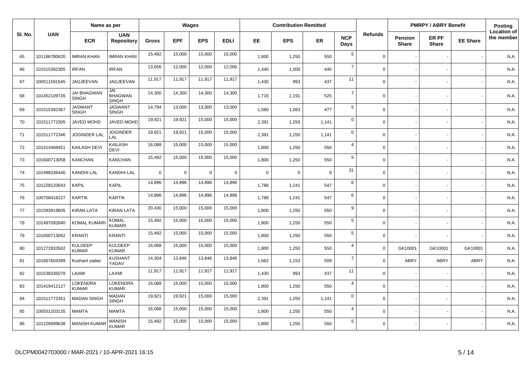|         |              | Name as per                        |                                       |              |            | Wages          |             |          | <b>Contribution Remitted</b> |             |                    |                |                         | <b>PMRPY / ABRY Benefit</b> |                 | <b>Posting</b>                   |
|---------|--------------|------------------------------------|---------------------------------------|--------------|------------|----------------|-------------|----------|------------------------------|-------------|--------------------|----------------|-------------------------|-----------------------------|-----------------|----------------------------------|
| SI. No. | <b>UAN</b>   | <b>ECR</b>                         | <b>UAN</b><br><b>Repository</b>       | <b>Gross</b> | <b>EPF</b> | <b>EPS</b>     | <b>EDLI</b> | EE       | <b>EPS</b>                   | <b>ER</b>   | <b>NCP</b><br>Days | <b>Refunds</b> | Pension<br><b>Share</b> | ER PF<br><b>Share</b>       | <b>EE Share</b> | <b>Location of</b><br>the member |
| 65      | 101186780620 | <b>IMRAN KHAN</b>                  | IMRAN KHAN                            | 15,492       | 15,000     | 15,000         | 15,000      | 1,800    | 1,250                        | 550         | 5                  | $\Omega$       |                         |                             |                 | N.A.                             |
| 66      | 101515392305 | <b>IRFAN</b>                       | <b>IRFAN</b>                          | 13,656       | 12,000     | 12,000         | 12,000      | 1,440    | 1,000                        | 440         | $\overline{7}$     | $\Omega$       |                         |                             |                 | N.A.                             |
| 67      | 100511591545 | JAGJEEVAN                          | JAGJEEVAN                             | 11,917       | 11,917     | 11,917         | 11,917      | 1,430    | 993                          | 437         | 11                 | $\Omega$       |                         |                             |                 | N.A.                             |
| 68      | 101452109726 | <b>JAI BHAGWAN</b><br><b>SINGH</b> | JAI<br><b>BHAGWAN</b><br><b>SINGH</b> | 14,300       | 14,300     | 14,300         | 14,300      | 1,716    | 1,191                        | 525         | $\overline{7}$     | $\Omega$       |                         |                             |                 | N.A.                             |
| 69      | 101515392367 | JASWANT<br><b>SINGH</b>            | <b>JASWANT</b><br><b>SINGH</b>        | 14,794       | 13,000     | 13,000         | 13,000      | 1.560    | 1,083                        | 477         | 5                  | $\Omega$       |                         |                             |                 | N.A.                             |
| 70      | 101511772305 | JAVED MOHD                         | <b>JAVED MOHD</b>                     | 19,921       | 19,921     | 15,000         | 15,000      | 2,391    | 1,250                        | 1,141       | $\mathbf 0$        | $\Omega$       |                         |                             |                 | N.A.                             |
| 71      | 101511772346 | <b>JOGINDER LAL</b>                | JOGINDER<br>LAL                       | 19,921       | 19,921     | 15,000         | 15,000      | 2,391    | 1,250                        | 1,141       | $\mathsf 0$        | $\mathbf 0$    |                         |                             |                 | N.A.                             |
| 72      | 101414468451 | KAILASH DEVI                       | KAILASH<br><b>DEVI</b>                | 16,088       | 15,000     | 15,000         | 15,000      | 1,800    | 1,250                        | 550         | $\overline{4}$     | $\mathbf 0$    |                         |                             |                 | N.A.                             |
| 73      | 101600713058 | <b>KANCHAN</b>                     | KANCHAN                               | 15,492       | 15,000     | 15,000         | 15,000      | 1,800    | 1,250                        | 550         | $\sqrt{5}$         | $\mathbf 0$    |                         |                             |                 | N.A.                             |
| 74      | 101488336440 | KANDHI LAL                         | KANDHI LAL                            | $\mathbf 0$  | 0          | $\overline{0}$ | $\mathbf 0$ | $\Omega$ | 0                            | $\mathbf 0$ | 31                 | $\mathbf 0$    |                         |                             |                 | N.A.                             |
| 75      | 101228120643 | <b>KAPIL</b>                       | KAPIL                                 | 14,896       | 14,896     | 14,896         | 14,896      | 1,788    | 1,241                        | 547         | 6                  | $\Omega$       |                         |                             |                 | N.A.                             |
| 76      | 100758416227 | <b>KARTIK</b>                      | KARTIK                                | 14,896       | 14,896     | 14,896         | 14,896      | 1,788    | 1,241                        | 547         | 6                  | $\Omega$       |                         |                             |                 | N.A.                             |
| 77      | 101593919605 | <b>KIRAN LATA</b>                  | <b>KIRAN LATA</b>                     | 20,430       | 15,000     | 15,000         | 15,000      | 1,800    | 1,250                        | 550         | 9                  | $\Omega$       |                         |                             |                 | N.A.                             |
| 78      | 101497092840 | <b>KOMAL KUMAR</b>                 | KOMAL<br><b>KUMARI</b>                | 15,492       | 15,000     | 15,000         | 15,000      | 1,800    | 1,250                        | 550         | 5                  | $\Omega$       |                         |                             |                 | N.A.                             |
| 79      | 101600713062 | <b>KRANTI</b>                      | <b>KRANTI</b>                         | 15,492       | 15,000     | 15,000         | 15,000      | 1,800    | 1,250                        | 550         | $5\phantom{.0}$    | $\Omega$       |                         |                             |                 | N.A.                             |
| 80      | 101272833502 | <b>KULDEEP</b><br><b>KUMAR</b>     | <b>KULDEEP</b><br><b>KUMAR</b>        | 16,088       | 15,000     | 15,000         | 15,000      | 1,800    | 1,250                        | 550         | $\overline{4}$     | $\Omega$       | GK10001                 | GK10001                     | GK10001         | N.A.                             |
| 81      | 101667604399 | Kushant yadav                      | <b>KUSHANT</b><br>YADAV               | 14,304       | 13,846     | 13,846         | 13,846      | 1,662    | 1,153                        | 509         | $\overline{7}$     | $\mathbf 0$    | ABRY                    | <b>ABRY</b>                 | ABRY            | N.A.                             |
| 82      | 101538335078 | LAXMI                              | LAXMI                                 | 11,917       | 11,917     | 11,917         | 11,917      | 1,430    | 993                          | 437         | 11                 | $\mathbf 0$    |                         |                             |                 | N.A.                             |
| 83      | 101419412127 | LOKENDRA<br><b>KUMAR</b>           | <b>LOKENDRA</b><br><b>KUMAR</b>       | 16,088       | 15,000     | 15,000         | 15,000      | 1,800    | 1,250                        | 550         | $\overline{4}$     | $\mathbf 0$    |                         |                             |                 | N.A.                             |
| 84      | 101511772351 | <b>MADAN SINGH</b>                 | <b>MADAN</b><br><b>SINGH</b>          | 19,921       | 19,921     | 15,000         | 15,000      | 2,391    | 1,250                        | 1,141       | $\mathbf 0$        | $\mathbf 0$    |                         |                             |                 | N.A.                             |
| 85      | 100551203135 | <b>MAMTA</b>                       | <b>MAMTA</b>                          | 16,088       | 15,000     | 15,000         | 15,000      | 1,800    | 1,250                        | 550         | $\overline{4}$     | $\Omega$       |                         |                             |                 | N.A.                             |
| 86      | 101226699638 | <b>MANISH KUMAR</b>                | MANISH<br>KUMAR                       | 15,492       | 15,000     | 15,000         | 15,000      | 1,800    | 1,250                        | 550         | 5                  | $\Omega$       |                         |                             |                 | N.A.                             |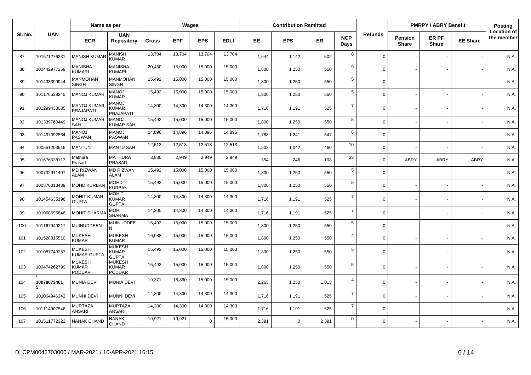|         |                  | Name as per                                    |                                                |              |            | <b>Wages</b> |             |           | <b>Contribution Remitted</b> |           |                    |                |                          | <b>PMRPY / ABRY Benefit</b>  |                 | Posting                          |
|---------|------------------|------------------------------------------------|------------------------------------------------|--------------|------------|--------------|-------------|-----------|------------------------------|-----------|--------------------|----------------|--------------------------|------------------------------|-----------------|----------------------------------|
| SI. No. | <b>UAN</b>       | <b>ECR</b>                                     | <b>UAN</b><br><b>Repository</b>                | <b>Gross</b> | <b>EPF</b> | <b>EPS</b>   | <b>EDLI</b> | <b>EE</b> | <b>EPS</b>                   | <b>ER</b> | <b>NCP</b><br>Days | <b>Refunds</b> | Pension<br><b>Share</b>  | <b>ER PF</b><br><b>Share</b> | <b>EE Share</b> | <b>Location of</b><br>the member |
| 87      | 101571276231     | <b>MANISH KUMA</b>                             | <b>MANISH</b><br><b>KUMAR</b>                  | 13,704       | 13,704     | 13,704       | 13,704      | 1,644     | 1,142                        | 502       | 8                  | $\Omega$       |                          |                              |                 | N.A.                             |
| 88      | 100442977259     | MANISHA<br><b>KUMARI</b>                       | <b>MANISHA</b><br><b>KUMARI</b>                | 20,430       | 15,000     | 15,000       | 15,000      | 1.800     | 1,250                        | 550       | 9                  | $\Omega$       |                          |                              |                 | N.A.                             |
| 89      | 101433399944     | MANMOHAN<br><b>SINGH</b>                       | <b>MANMOHAN</b><br><b>SINGH</b>                | 15,492       | 15,000     | 15,000       | 15,000      | 1,800     | 1,250                        | 550       | 5                  | $\Omega$       |                          |                              |                 | N.A.                             |
| 90      | 101176538245     | <b>MANOJ KUMAF</b>                             | <b>MANOJ</b><br><b>KUMAR</b>                   | 15,492       | 15,000     | 15,000       | 15,000      | 1,800     | 1,250                        | 550       | $\sqrt{5}$         | $\Omega$       |                          |                              |                 | N.A.                             |
| 91      | 101299433085     | <b>MANOJ KUMAR</b><br>PRAJAPATI                | <b>MANOJ</b><br>KUMAR<br>PRAJAPATI             | 14,300       | 14,300     | 14,300       | 14,300      | 1,716     | 1,191                        | 525       | $\overline{7}$     | $\Omega$       |                          |                              |                 | N.A.                             |
| 92      | 101339760449     | <b>MANOJ KUMAR</b><br>SAH                      | <b>MANOJ</b><br><b>KUMAR SAH</b>               | 15,492       | 15,000     | 15,000       | 15,000      | 1,800     | 1,250                        | 550       | 5                  | $\Omega$       |                          |                              |                 | N.A.                             |
| 93      | 101497092864     | <b>MANOJ</b><br>PASWAN                         | <b>MANOJ</b><br><b>PASWAN</b>                  | 14,896       | 14,896     | 14,896       | 14,896      | 1,788     | 1,241                        | 547       | 6                  | $\Omega$       |                          |                              |                 | N.A.                             |
| 94      | 100551203616     | <b>MANTUN</b>                                  | <b>MANTU SAH</b>                               | 12,513       | 12,513     | 12,513       | 12,513      | 1,502     | 1,042                        | 460       | 10                 | $\Omega$       |                          |                              |                 | N.A.                             |
| 95      | 101676538113     | Mathura<br>Prasad                              | <b>MATHURA</b><br><b>PRASAD</b>                | 3,830        | 2,949      | 2,949        | 2,949       | 354       | 246                          | 108       | 23                 | $\Omega$       | ABRY                     | <b>ABRY</b>                  | ABRY            | N.A.                             |
| 96      | 100732911407     | <b>MD RIZWAN</b><br>ALAM                       | <b>MD RIZWAN</b><br><b>ALAM</b>                | 15,492       | 15,000     | 15,000       | 15,000      | 1,800     | 1,250                        | 550       | $\sqrt{5}$         | $\Omega$       |                          |                              |                 | N.A.                             |
| 97      | 100876013439     | <b>MOHD KURBA</b>                              | <b>MOHD</b><br><b>KURBAN</b>                   | 15,492       | 15,000     | 15,000       | 15,000      | 1.800     | 1,250                        | 550       | 5                  | $\Omega$       | $\overline{\phantom{a}}$ |                              |                 | N.A.                             |
| 98      | 101454635198     | <b>MOHIT KUMAR</b><br><b>GUPTA</b>             | <b>MOHIT</b><br><b>KUMAR</b><br><b>GUPTA</b>   | 14,300       | 14,300     | 14,300       | 14,300      | 1.716     | 1,191                        | 525       | $\overline{7}$     | $\Omega$       |                          |                              |                 | N.A.                             |
| 99      | 101068695846     | <b>MOHIT SHARMA</b>                            | <b>MOHIT</b><br><b>SHARMA</b>                  | 14,300       | 14,300     | 14,300       | 14,300      | 1,716     | 1,191                        | 525       | $\overline{7}$     | $\Omega$       |                          |                              |                 | N.A.                             |
| 100     | 101167949217     | MUINUDDEEN                                     | <b>MUINUDDEE</b><br>N                          | 15,492       | 15,000     | 15,000       | 15,000      | 1.800     | 1,250                        | 550       | 5                  | $\Omega$       |                          |                              |                 | N.A                              |
| 101     | 101528815510     | MUKESH<br><b>KUMAR</b>                         | <b>MUKESH</b><br><b>KUMAR</b>                  | 16,088       | 15,000     | 15,000       | 15,000      | 1,800     | 1,250                        | 550       | $\overline{4}$     | $\Omega$       |                          |                              |                 | N.A.                             |
| 102     | 101087749287     | <b>MUKESH</b><br><b>KUMAR GUPTA</b>            | <b>MUKESH</b><br><b>KUMAR</b><br><b>GUPTA</b>  | 15,492       | 15,000     | 15,000       | 15,000      | 1,800     | 1,250                        | 550       | 5                  | $\Omega$       |                          |                              |                 | N.A.                             |
| 103     | 100474262799     | <b>MUKESH</b><br><b>KUMAR</b><br><b>PODDAR</b> | <b>MUKESH</b><br><b>KUMAR</b><br><b>PODDAR</b> | 15,492       | 15,000     | 15,000       | 15,000      | 1,800     | 1,250                        | 550       | 5                  | $\Omega$       |                          |                              |                 | N.A.                             |
| 104     | 10078873461<br>5 | <b>MUNIA DEVI</b>                              | <b>MUNIA DEVI</b>                              | 19,371       | 18,860     | 15,000       | 15,000      | 2,263     | 1,250                        | 1,013     | $\overline{4}$     | $\Omega$       |                          |                              |                 | N.A.                             |
| 105     | 101064946242     | <b>MUNNI DEVI</b>                              | <b>MUNNI DEVI</b>                              | 14,300       | 14,300     | 14,300       | 14,300      | 1,716     | 1,191                        | 525       | $\overline{7}$     | $\Omega$       |                          |                              |                 | N.A.                             |
| 106     | 101114907546     | <b>MURTAZA</b><br>ANSARI                       | <b>MURTAZA</b><br>ANSARI                       | 14,300       | 14,300     | 14,300       | 14,300      | 1,716     | 1,191                        | 525       | $\overline{7}$     | $\Omega$       |                          |                              |                 | N.A.                             |
| 107     | 101511772322     | <b>NANAK CHAND</b>                             | <b>NANAK</b><br>CHAND                          | 19,921       | 19,921     | $\Omega$     | 15,000      | 2,391     | $\mathbf 0$                  | 2,391     | $\mathbf 0$        | $\Omega$       |                          |                              |                 | N.A.                             |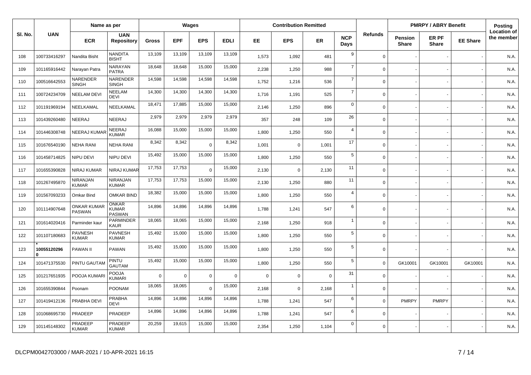|         |                         | Name as per                    |                                               |              |             | Wages          |             |          | <b>Contribution Remitted</b> |             |                    |                |                         | <b>PMRPY / ABRY Benefit</b> |                 | Posting                          |
|---------|-------------------------|--------------------------------|-----------------------------------------------|--------------|-------------|----------------|-------------|----------|------------------------------|-------------|--------------------|----------------|-------------------------|-----------------------------|-----------------|----------------------------------|
| SI. No. | <b>UAN</b>              | <b>ECR</b>                     | <b>UAN</b><br><b>Repository</b>               | <b>Gross</b> | <b>EPF</b>  | <b>EPS</b>     | <b>EDLI</b> | EE       | <b>EPS</b>                   | <b>ER</b>   | <b>NCP</b><br>Days | <b>Refunds</b> | Pension<br><b>Share</b> | ER PF<br><b>Share</b>       | <b>EE Share</b> | <b>Location of</b><br>the member |
| 108     | 100733416297            | Nandita Bisht                  | <b>NANDITA</b><br><b>BISHT</b>                | 13,109       | 13,109      | 13,109         | 13,109      | 1,573    | 1,092                        | 481         | 9                  | $\Omega$       |                         |                             |                 | N.A.                             |
| 109     | 101165916442            | Narayan Patra                  | NARAYAN<br><b>PATRA</b>                       | 18,648       | 18,648      | 15,000         | 15,000      | 2,238    | 1,250                        | 988         | $\overline{7}$     | $\Omega$       |                         |                             |                 | N.A.                             |
| 110     | 100516642553            | NARENDER<br><b>SINGH</b>       | NARENDER<br><b>SINGH</b>                      | 14,598       | 14,598      | 14,598         | 14,598      | 1,752    | 1,216                        | 536         | $\overline{7}$     | $\Omega$       |                         |                             |                 | N.A.                             |
| 111     | 100724234709            | <b>NEELAM DEVI</b>             | <b>NEELAM</b><br><b>DEVI</b>                  | 14,300       | 14,300      | 14,300         | 14,300      | 1,716    | 1,191                        | 525         | $\overline{7}$     | $\Omega$       |                         |                             |                 | N.A.                             |
| 112     | 101191969194            | NEELKAMAL                      | NEELKAMAL                                     | 18,471       | 17,885      | 15,000         | 15,000      | 2.146    | 1,250                        | 896         | $\mathbf 0$        | $\Omega$       |                         |                             |                 | N.A.                             |
| 113     | 101439260480            | NEERAJ                         | NEERAJ                                        | 2,979        | 2,979       | 2,979          | 2,979       | 357      | 248                          | 109         | 26                 | $\mathbf 0$    |                         |                             |                 | N.A.                             |
| 114     | 101446308748            | <b>NEERAJ KUMAR</b>            | NEERAJ<br><b>KUMAR</b>                        | 16,088       | 15,000      | 15,000         | 15,000      | 1,800    | 1,250                        | 550         | $\overline{4}$     | $\Omega$       |                         |                             |                 | N.A.                             |
| 115     | 101676540190            | <b>NEHA RANI</b>               | <b>NEHA RANI</b>                              | 8,342        | 8,342       | $\overline{0}$ | 8,342       | 1,001    | $\mathbf 0$                  | 1,001       | 17                 | $\mathbf 0$    |                         |                             |                 | N.A.                             |
| 116     | 101458714825            | NIPU DEVI                      | NIPU DEVI                                     | 15,492       | 15,000      | 15,000         | 15,000      | 1,800    | 1,250                        | 550         | 5                  | $\Omega$       |                         |                             |                 | N.A.                             |
| 117     | 101655390828            | <b>NIRAJ KUMAR</b>             | NIRAJ KUMAR                                   | 17,753       | 17,753      | $\overline{0}$ | 15,000      | 2,130    | $\mathbf 0$                  | 2,130       | 11                 | $\mathbf 0$    |                         |                             |                 | N.A.                             |
| 118     | 101267495870            | NIRANJAN<br><b>KUMAR</b>       | NIRANJAN<br><b>KUMAR</b>                      | 17,753       | 17,753      | 15,000         | 15,000      | 2,130    | 1,250                        | 880         | 11                 | $\Omega$       |                         |                             |                 | N.A.                             |
| 119     | 101567093233            | Omkar Bind                     | <b>OMKAR BIND</b>                             | 18,382       | 15,000      | 15,000         | 15,000      | 1,800    | 1,250                        | 550         | $\overline{4}$     | $\Omega$       |                         |                             |                 | N.A.                             |
| 120     | 101114907648            | <b>ONKAR KUMAR</b><br>PASWAN   | <b>ONKAR</b><br><b>KUMAR</b><br><b>PASWAN</b> | 14,896       | 14,896      | 14,896         | 14,896      | 1,788    | 1,241                        | 547         | 6                  | $\Omega$       |                         |                             |                 | N.A.                             |
| 121     | 101614020416            | Parminder kaur                 | PARMINDER<br>KAUR                             | 18,065       | 18,065      | 15,000         | 15,000      | 2,168    | 1,250                        | 918         | $\overline{1}$     | $\Omega$       |                         |                             |                 | N.A.                             |
| 122     | 101107180683            | <b>PAVNESH</b><br><b>KUMAR</b> | <b>PAVNESH</b><br><b>KUMAR</b>                | 15,492       | 15,000      | 15,000         | 15,000      | 1,800    | 1,250                        | 550         | 5                  | $\Omega$       |                         |                             |                 | N.A.                             |
| 123     | 10055120296<br>$\bf{0}$ | PAWAN II                       | PAWAN                                         | 15,492       | 15,000      | 15,000         | 15,000      | 1,800    | 1,250                        | 550         | 5                  | $\mathbf 0$    |                         |                             |                 | N.A.                             |
| 124     | 101471375530            | PINTU GAUTAN                   | <b>PINTU</b><br><b>GAUTAM</b>                 | 15,492       | 15,000      | 15,000         | 15,000      | 1,800    | 1,250                        | 550         | $5\phantom{.0}$    | $\Omega$       | GK10001                 | GK10001                     | GK10001         | N.A.                             |
| 125     | 101217651935            | POOJA KUMAR                    | <b>POOJA</b><br><b>KUMARI</b>                 | $\mathbf 0$  | $\mathbf 0$ | $\overline{0}$ | $\Omega$    | $\Omega$ | $\mathbf 0$                  | $\mathbf 0$ | 31                 | $\Omega$       |                         |                             |                 | N.A.                             |
| 126     | 101655390844            | Poonam                         | <b>POONAM</b>                                 | 18,065       | 18,065      | $\Omega$       | 15,000      | 2,168    | $\mathbf 0$                  | 2,168       | $\overline{1}$     | $\Omega$       |                         |                             |                 | N.A.                             |
| 127     | 101419412136            | PRABHA DEVI                    | <b>PRABHA</b><br><b>DEVI</b>                  | 14,896       | 14,896      | 14,896         | 14,896      | 1,788    | 1,241                        | 547         | 6                  | $\Omega$       | <b>PMRPY</b>            | <b>PMRPY</b>                |                 | N.A.                             |
| 128     | 101068695730            | PRADEEP                        | PRADEEP                                       | 14,896       | 14,896      | 14,896         | 14,896      | 1,788    | 1,241                        | 547         | 6                  | $\Omega$       |                         |                             |                 | N.A.                             |
| 129     | 101145148302            | PRADEEP<br><b>KUMAR</b>        | PRADEEP<br><b>KUMAR</b>                       | 20,259       | 19,615      | 15,000         | 15,000      | 2,354    | 1,250                        | 1,104       | $\mathbf 0$        | $\Omega$       |                         |                             |                 | N.A.                             |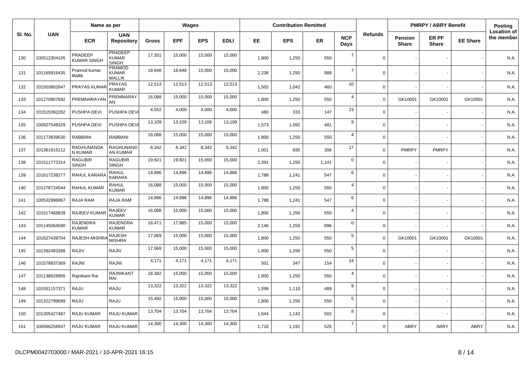|         |              | Name as per                   |                                                |              |            | Wages      |             |       | <b>Contribution Remitted</b> |       |                    |                |                                | <b>PMRPY / ABRY Benefit</b> |                 | Posting                          |
|---------|--------------|-------------------------------|------------------------------------------------|--------------|------------|------------|-------------|-------|------------------------------|-------|--------------------|----------------|--------------------------------|-----------------------------|-----------------|----------------------------------|
| SI. No. | <b>UAN</b>   | <b>ECR</b>                    | <b>UAN</b><br><b>Repository</b>                | <b>Gross</b> | <b>EPF</b> | <b>EPS</b> | <b>EDLI</b> | EE.   | <b>EPS</b>                   | ER    | <b>NCP</b><br>Days | <b>Refunds</b> | <b>Pension</b><br><b>Share</b> | ER PF<br><b>Share</b>       | <b>EE Share</b> | <b>Location of</b><br>the member |
| 130     | 100512304105 | PRADEEP<br><b>KUMAR SINGH</b> | PRADEEP<br>KUMAR<br><b>SINGH</b>               | 17,351       | 15,000     | 15,000     | 15,000      | 1,800 | 1,250                        | 550   | $\overline{7}$     | $\Omega$       |                                |                             |                 | N.A.                             |
| 131     | 101165916435 | Pramod kumar<br>Mallik        | <b>PRAMOD</b><br><b>KUMAR</b><br><b>MALLIK</b> | 18,648       | 18,648     | 15,000     | 15,000      | 2,238 | 1,250                        | 988   | $\overline{7}$     | $\mathbf 0$    |                                |                             |                 | N.A.                             |
| 132     | 101503802647 | <b>PRAYAS KUMA</b>            | <b>PRAYAS</b><br><b>KUMAR</b>                  | 12,513       | 12,513     | 12,513     | 12,513      | 1,502 | 1,042                        | 460   | 10                 | $\Omega$       |                                |                             |                 | N.A.                             |
| 133     | 101270907692 | PREMNARAYA                    | PREMNARAY<br>AN                                | 16,088       | 15,000     | 15,000     | 15,000      | 1,800 | 1,250                        | 550   | $\overline{4}$     | $\Omega$       | GK10001                        | GK10001                     | GK10001         | N.A.                             |
| 134     | 101515392282 | PUSHPA DEVI                   | PUSHPA DEVI                                    | 4,552        | 4,000      | 4,000      | 4,000       | 480   | 333                          | 147   | 23                 | $\mathbf 0$    |                                |                             |                 | N.A.                             |
| 135     | 100927548329 | PUSHPA DEVI                   | PUSHPA DEV                                     | 13,109       | 13,109     | 13,109     | 13,109      | 1,573 | 1,092                        | 481   | 9                  | $\mathbf 0$    |                                |                             |                 | N.A.                             |
| 136     | 101173939530 | <b>RABBANI</b>                | RABBANI                                        | 16,088       | 15,000     | 15,000     | 15,000      | 1,800 | 1,250                        | 550   | $\overline{4}$     | $\Omega$       |                                |                             |                 | N.A.                             |
| 137     | 101361915112 | RAGHUNANDA<br>N KUMAR         | RAGHUNAND<br>AN KUMAR                          | 8,342        | 8,342      | 8,342      | 8,342       | 1,001 | 695                          | 306   | 17                 | $\mathbf 0$    | <b>PMRPY</b>                   | <b>PMRPY</b>                |                 | N.A.                             |
| 138     | 101511772314 | RAGUBIR<br><b>SINGH</b>       | <b>RAGUBIR</b><br><b>SINGH</b>                 | 19,921       | 19,921     | 15,000     | 15,000      | 2,391 | 1,250                        | 1,141 | $\mathbf 0$        | $\Omega$       |                                |                             |                 | N.A.                             |
| 139     | 101617238277 | RAHUL KARAR                   | <b>RAHUL</b><br><b>KARARA</b>                  | 14,896       | 14,896     | 14,896     | 14,896      | 1,788 | 1,241                        | 547   | 6                  | $\mathbf 0$    |                                |                             |                 | N.A.                             |
| 140     | 101278724544 | RAHUL KUMAR                   | RAHUL<br><b>KUMAR</b>                          | 16,088       | 15,000     | 15,000     | 15,000      | 1,800 | 1,250                        | 550   | $\overline{4}$     | $\Omega$       |                                |                             |                 | N.A.                             |
| 141     | 100532996867 | RAJA RAM                      | RAJA RAM                                       | 14,896       | 14,896     | 14,896     | 14,896      | 1,788 | 1,241                        | 547   | 6                  | $\Omega$       |                                |                             |                 | N.A.                             |
| 142     | 101517468839 | RAJEEV KUMA                   | <b>RAJEEV</b><br><b>KUMAR</b>                  | 16,088       | 15,000     | 15,000     | 15,000      | 1,800 | 1,250                        | 550   | $\overline{4}$     | $\mathbf 0$    |                                |                             |                 | N.A.                             |
| 143     | 101145064590 | <b>RAJENDRA</b><br>KUMAR      | <b>RAJENDRA</b><br><b>KUMAR</b>                | 18,471       | 17,885     | 15,000     | 15,000      | 2.146 | 1,250                        | 896   | $\mathbf 0$        | $\Omega$       |                                |                             |                 | N.A.                             |
| 144     | 101627439704 | <b>RAJESH MISHR</b>           | <b>RAJESH</b><br><b>MISHRA</b>                 | 17,069       | 15,000     | 15,000     | 15,000      | 1,800 | 1,250                        | 550   | $\sqrt{5}$         | $\Omega$       | GK10001                        | GK10001                     | GK10001         | N.A.                             |
| 145     | 101392483288 | <b>RAJIV</b>                  | RAJIV                                          | 17,069       | 15,000     | 15,000     | 15,000      | 1,800 | 1,250                        | 550   | 5                  | $\mathbf 0$    |                                |                             |                 | N.A.                             |
| 146     | 101578837369 | <b>RAJNI</b>                  | <b>RAJNI</b>                                   | 4,171        | 4,171      | 4,171      | 4,171       | 501   | 347                          | 154   | 24                 | $\Omega$       |                                |                             |                 | N.A.                             |
| 147     | 101138628905 | Rajnikant Rai                 | RAJNIKANT<br>RAI                               | 18,382       | 15,000     | 15,000     | 15,000      | 1,800 | 1,250                        | 550   | $\overline{4}$     | $\mathbf 0$    |                                |                             |                 | N.A.                             |
| 148     | 101551157371 | RAJU                          | RAJU                                           | 13,322       | 13,322     | 13,322     | 13,322      | 1.599 | 1,110                        | 489   | 9                  | $\Omega$       |                                |                             |                 | N.A.                             |
| 149     | 101322799699 | RAJU                          | RAJU                                           | 15,492       | 15,000     | 15,000     | 15,000      | 1,800 | 1,250                        | 550   | $\sqrt{5}$         | $\mathbf 0$    |                                |                             |                 | N.A.                             |
| 150     | 101305427487 | <b>RAJU KUMAR</b>             | RAJU KUMAR                                     | 13,704       | 13,704     | 13,704     | 13,704      | 1,644 | 1,142                        | 502   | 8                  | $\mathbf 0$    |                                |                             |                 | N.A.                             |
| 151     | 100566256947 | <b>RAJU KUMAR</b>             | <b>RAJU KUMAR</b>                              | 14,300       | 14,300     | 14,300     | 14,300      | 1.716 | 1,191                        | 525   | $\overline{7}$     | $\Omega$       | <b>ABRY</b>                    | <b>ABRY</b>                 | <b>ABRY</b>     | N.A.                             |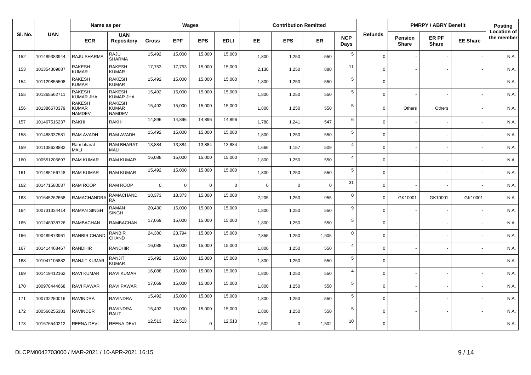|         |              | Name as per                                    |                                                |              |            | Wages          |             |             | <b>Contribution Remitted</b> |             |                    |             |                         | <b>PMRPY / ABRY Benefit</b> |                 | <b>Posting</b>                   |
|---------|--------------|------------------------------------------------|------------------------------------------------|--------------|------------|----------------|-------------|-------------|------------------------------|-------------|--------------------|-------------|-------------------------|-----------------------------|-----------------|----------------------------------|
| SI. No. | <b>UAN</b>   | <b>ECR</b>                                     | <b>UAN</b><br><b>Repository</b>                | <b>Gross</b> | <b>EPF</b> | <b>EPS</b>     | <b>EDLI</b> | EE          | <b>EPS</b>                   | ER          | <b>NCP</b><br>Days | Refunds     | Pension<br><b>Share</b> | ER PF<br><b>Share</b>       | <b>EE Share</b> | <b>Location of</b><br>the member |
| 152     | 101489383944 | RAJU SHARMA                                    | RAJU<br><b>SHARMA</b>                          | 15,492       | 15,000     | 15,000         | 15,000      | 1,800       | 1,250                        | 550         | 5                  | $\Omega$    |                         |                             |                 | N.A.                             |
| 153     | 101354309687 | <b>RAKESH</b><br><b>KUMAR</b>                  | <b>RAKESH</b><br><b>KUMAR</b>                  | 17,753       | 17,753     | 15,000         | 15,000      | 2,130       | 1,250                        | 880         | 11                 | $\Omega$    |                         |                             |                 | N.A.                             |
| 154     | 101129855508 | <b>RAKESH</b><br><b>KUMAR</b>                  | <b>RAKESH</b><br>KUMAR                         | 15,492       | 15,000     | 15,000         | 15,000      | 1,800       | 1,250                        | 550         | $\sqrt{5}$         | $\Omega$    |                         |                             |                 | N.A.                             |
| 155     | 101365562711 | <b>RAKESH</b><br><b>KUMAR JHA</b>              | <b>RAKESH</b><br><b>KUMAR JHA</b>              | 15,492       | 15,000     | 15,000         | 15,000      | 1,800       | 1,250                        | 550         | $5\phantom{.0}$    | $\Omega$    |                         |                             |                 | N.A.                             |
| 156     | 101386670379 | <b>RAKESH</b><br><b>KUMAR</b><br><b>NAMDEV</b> | <b>RAKESH</b><br><b>KUMAR</b><br><b>NAMDEV</b> | 15,492       | 15,000     | 15,000         | 15,000      | 1,800       | 1,250                        | 550         | 5                  | $\Omega$    | <b>Others</b>           | Others                      |                 | N.A.                             |
| 157     | 101467516237 | <b>RAKHI</b>                                   | RAKHI                                          | 14,896       | 14,896     | 14,896         | 14,896      | 1,788       | 1,241                        | 547         | 6                  | $\mathbf 0$ |                         |                             |                 | N.A.                             |
| 158     | 101488337581 | RAM AVADH                                      | RAM AVADH                                      | 15,492       | 15,000     | 15,000         | 15,000      | 1,800       | 1,250                        | 550         | $\sqrt{5}$         | $\mathbf 0$ |                         |                             |                 | N.A.                             |
| 159     | 101138628882 | Ram bharat<br><b>MALI</b>                      | RAM BHARAT<br><b>MALI</b>                      | 13,884       | 13,884     | 13,884         | 13,884      | 1,666       | 1,157                        | 509         | $\overline{4}$     | $\mathbf 0$ |                         |                             |                 | N.A.                             |
| 160     | 100551205697 | <b>RAM KUMAR</b>                               | <b>RAM KUMAR</b>                               | 16,088       | 15,000     | 15,000         | 15,000      | 1,800       | 1,250                        | 550         | $\overline{4}$     | $\mathbf 0$ |                         |                             |                 | N.A.                             |
| 161     | 101485166748 | <b>RAM KUMAR</b>                               | <b>RAM KUMAR</b>                               | 15,492       | 15,000     | 15,000         | 15,000      | 1,800       | 1,250                        | 550         | 5                  | $\mathbf 0$ |                         |                             |                 | N.A.                             |
| 162     | 101471580037 | RAM ROOP                                       | RAM ROOP                                       | $\mathbf 0$  | 0          | $\overline{0}$ | $\mathbf 0$ | $\mathbf 0$ | $\mathbf 0$                  | $\mathbf 0$ | 31                 | $\mathbf 0$ |                         |                             |                 | N.A.                             |
| 163     | 101645262658 | RAMACHANDRA                                    | <b>RAMACHAND</b><br><b>RA</b>                  | 18,373       | 18,373     | 15,000         | 15,000      | 2,205       | 1,250                        | 955         | $\mathbf 0$        | $\mathbf 0$ | GK10001                 | GK10001                     | GK10001         | N.A.                             |
| 164     | 100731334414 | <b>RAMAN SINGH</b>                             | <b>RAMAN</b><br><b>SINGH</b>                   | 20,430       | 15,000     | 15,000         | 15,000      | 1,800       | 1,250                        | 550         | 9                  | $\Omega$    |                         |                             |                 | N.A.                             |
| 165     | 101248938726 | <b>RAMBACHAN</b>                               | <b>RAMBACHAN</b>                               | 17,069       | 15,000     | 15,000         | 15,000      | 1,800       | 1,250                        | 550         | $5\phantom{.0}$    | $\mathbf 0$ |                         |                             |                 | N.A.                             |
| 166     | 100489873961 | <b>RANBIR CHAND</b>                            | <b>RANBIR</b><br>CHAND                         | 24,380       | 23,794     | 15,000         | 15,000      | 2,855       | 1,250                        | 1,605       | $\mathbf 0$        | $\mathbf 0$ |                         |                             |                 | N.A.                             |
| 167     | 101414468467 | <b>RANDHIR</b>                                 | <b>RANDHIR</b>                                 | 16,088       | 15,000     | 15,000         | 15,000      | 1,800       | 1,250                        | 550         | $\overline{4}$     | $\Omega$    |                         |                             |                 | N.A.                             |
| 168     | 101047105882 | <b>RANJIT KUMAR</b>                            | <b>RANJIT</b><br><b>KUMAR</b>                  | 15,492       | 15,000     | 15,000         | 15,000      | 1,800       | 1,250                        | 550         | 5                  | $\Omega$    |                         |                             |                 | N.A.                             |
| 169     | 101419412162 | RAVI KUMAR                                     | RAVI KUMAR                                     | 16,088       | 15,000     | 15,000         | 15,000      | 1,800       | 1,250                        | 550         | $\overline{4}$     | $\Omega$    |                         |                             |                 | N.A.                             |
| 170     | 100978444668 | <b>RAVI PAWAR</b>                              | RAVI PAWAR                                     | 17,069       | 15,000     | 15,000         | 15,000      | 1,800       | 1,250                        | 550         | 5                  | $\Omega$    |                         |                             |                 | N.A.                             |
| 171     | 100732250016 | <b>RAVINDRA</b>                                | RAVINDRA                                       | 15,492       | 15,000     | 15,000         | 15,000      | 1,800       | 1,250                        | 550         | $\sqrt{5}$         | $\mathbf 0$ |                         |                             |                 | N.A.                             |
| 172     | 100566255383 | RAVINDER                                       | <b>RAVINDRA</b><br><b>RAUT</b>                 | 15,492       | 15,000     | 15,000         | 15,000      | 1,800       | 1,250                        | 550         | 5                  | $\Omega$    |                         |                             |                 | N.A.                             |
| 173     | 101676540212 | <b>REENA DEVI</b>                              | REENA DEVI                                     | 12,513       | 12,513     | $\Omega$       | 12,513      | 1,502       | $\mathbf 0$                  | 1,502       | 10                 | $\Omega$    |                         |                             |                 | N.A.                             |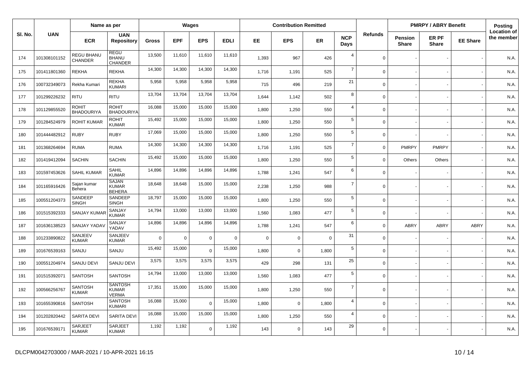|         |              | Name as per                       |                                                |              |            | Wages       |             |          | <b>Contribution Remitted</b> |             |                    |                |                                | <b>PMRPY / ABRY Benefit</b> |                 | <b>Posting</b>                   |
|---------|--------------|-----------------------------------|------------------------------------------------|--------------|------------|-------------|-------------|----------|------------------------------|-------------|--------------------|----------------|--------------------------------|-----------------------------|-----------------|----------------------------------|
| SI. No. | <b>UAN</b>   | <b>ECR</b>                        | <b>UAN</b><br><b>Repository</b>                | <b>Gross</b> | <b>EPF</b> | <b>EPS</b>  | <b>EDLI</b> | EE.      | <b>EPS</b>                   | <b>ER</b>   | <b>NCP</b><br>Days | <b>Refunds</b> | <b>Pension</b><br><b>Share</b> | ER PF<br><b>Share</b>       | <b>EE Share</b> | <b>Location of</b><br>the member |
| 174     | 101308101152 | REGU BHANU<br>CHANDER             | REGU<br><b>BHANU</b><br><b>CHANDER</b>         | 13,500       | 11,610     | 11,610      | 11,610      | 1,393    | 967                          | 426         | $\overline{4}$     | $\Omega$       |                                |                             |                 | N.A.                             |
| 175     | 101411801360 | <b>REKHA</b>                      | <b>REKHA</b>                                   | 14,300       | 14,300     | 14,300      | 14,300      | 1,716    | 1,191                        | 525         | $\overline{7}$     | $\Omega$       |                                |                             |                 | N.A.                             |
| 176     | 100732349073 | Rekha Kumari                      | <b>REKHA</b><br><b>KUMARI</b>                  | 5,958        | 5,958      | 5,958       | 5,958       | 715      | 496                          | 219         | 21                 | $\mathbf 0$    |                                |                             |                 | N.A.                             |
| 177     | 101299226232 | <b>RITU</b>                       | <b>RITU</b>                                    | 13,704       | 13,704     | 13,704      | 13,704      | 1,644    | 1,142                        | 502         | 8                  | $\Omega$       |                                |                             |                 | N.A.                             |
| 178     | 101129855520 | <b>ROHIT</b><br><b>BHADOURIYA</b> | <b>ROHIT</b><br><b>BHADOURIYA</b>              | 16,088       | 15,000     | 15,000      | 15,000      | 1,800    | 1,250                        | 550         | $\overline{4}$     | $\mathbf 0$    |                                |                             |                 | N.A.                             |
| 179     | 101284524979 | <b>ROHIT KUMAR</b>                | <b>ROHIT</b><br><b>KUMAR</b>                   | 15,492       | 15,000     | 15,000      | 15,000      | 1,800    | 1,250                        | 550         | 5                  | $\Omega$       |                                |                             |                 | N.A.                             |
| 180     | 101444482912 | <b>RUBY</b>                       | <b>RUBY</b>                                    | 17,069       | 15,000     | 15,000      | 15,000      | 1,800    | 1,250                        | 550         | $\sqrt{5}$         | $\mathbf 0$    |                                |                             |                 | N.A.                             |
| 181     | 101368264694 | <b>RUMA</b>                       | <b>RUMA</b>                                    | 14,300       | 14,300     | 14,300      | 14,300      | 1,716    | 1,191                        | 525         | $\overline{7}$     | $\mathbf 0$    | <b>PMRPY</b>                   | <b>PMRPY</b>                |                 | N.A.                             |
| 182     | 101419412094 | <b>SACHIN</b>                     | <b>SACHIN</b>                                  | 15,492       | 15,000     | 15,000      | 15,000      | 1,800    | 1,250                        | 550         | 5                  | $\Omega$       | <b>Others</b>                  | Others                      |                 | N.A.                             |
| 183     | 101597453626 | <b>SAHIL KUMAR</b>                | SAHIL<br><b>KUMAR</b>                          | 14,896       | 14,896     | 14,896      | 14,896      | 1.788    | 1,241                        | 547         | 6                  | $\Omega$       |                                |                             |                 | N.A.                             |
| 184     | 101165916426 | Sajan kumar<br>Behera             | <b>SAJAN</b><br><b>KUMAR</b><br><b>BEHERA</b>  | 18,648       | 18,648     | 15,000      | 15,000      | 2,238    | 1,250                        | 988         | $\overline{7}$     | $\mathbf 0$    |                                |                             |                 | N.A.                             |
| 185     | 100551204373 | SANDEEP<br><b>SINGH</b>           | SANDEEP<br><b>SINGH</b>                        | 18,797       | 15,000     | 15,000      | 15,000      | 1,800    | 1,250                        | 550         | 5                  | $\Omega$       |                                |                             |                 | N.A.                             |
| 186     | 101515392333 | <b>SANJAY KUMA</b>                | SANJAY<br><b>KUMAR</b>                         | 14,794       | 13,000     | 13,000      | 13,000      | 1,560    | 1,083                        | 477         | 5                  | $\mathbf 0$    |                                |                             |                 | N.A.                             |
| 187     | 101636138523 | <b>SANJAY YADA</b>                | SANJAY<br>YADAV                                | 14,896       | 14,896     | 14,896      | 14,896      | 1,788    | 1,241                        | 547         | 6                  | $\Omega$       | ABRY                           | <b>ABRY</b>                 | ABRY            | N.A.                             |
| 188     | 101233890822 | SANJEEV<br><b>KUMAR</b>           | SANJEEV<br><b>KUMAR</b>                        | $\mathbf 0$  | 0          | $\mathbf 0$ | $\mathbf 0$ | $\Omega$ | $\mathbf 0$                  | $\mathbf 0$ | 31                 | $\Omega$       |                                |                             |                 | N.A.                             |
| 189     | 101676539163 | SANJU                             | SANJU                                          | 15,492       | 15,000     | $\Omega$    | 15,000      | 1,800    | $\mathbf 0$                  | 1,800       | $\sqrt{5}$         | $\mathbf 0$    |                                |                             |                 | N.A.                             |
| 190     | 100551204974 | SANJU DEVI                        | SANJU DEVI                                     | 3,575        | 3,575      | 3,575       | 3,575       | 429      | 298                          | 131         | 25                 | $\Omega$       |                                |                             |                 | N.A.                             |
| 191     | 101515392071 | <b>SANTOSH</b>                    | <b>SANTOSH</b>                                 | 14,794       | 13,000     | 13,000      | 13,000      | 1,560    | 1,083                        | 477         | $\sqrt{5}$         | $\Omega$       |                                |                             |                 | N.A.                             |
| 192     | 100566256767 | <b>SANTOSH</b><br><b>KUMAR</b>    | <b>SANTOSH</b><br><b>KUMAR</b><br><b>VERMA</b> | 17,351       | 15,000     | 15,000      | 15,000      | 1,800    | 1,250                        | 550         | $\overline{7}$     | $\Omega$       |                                |                             |                 | N.A.                             |
| 193     | 101655390816 | <b>SANTOSH</b>                    | <b>SANTOSH</b><br><b>KUMARI</b>                | 16,088       | 15,000     | $\Omega$    | 15,000      | 1,800    | $\mathbf 0$                  | 1,800       | $\overline{4}$     | $\Omega$       |                                |                             |                 | N.A.                             |
| 194     | 101202820442 | SARITA DEVI                       | SARITA DEVI                                    | 16,088       | 15,000     | 15,000      | 15,000      | 1,800    | 1,250                        | 550         | $\overline{4}$     | $\Omega$       |                                |                             |                 | N.A.                             |
| 195     | 101676539171 | SARJEET<br><b>KUMAR</b>           | <b>SARJEET</b><br><b>KUMAR</b>                 | 1,192        | 1,192      | $\Omega$    | 1,192       | 143      | $\mathbf 0$                  | 143         | 29                 | $\Omega$       |                                |                             |                 | N.A.                             |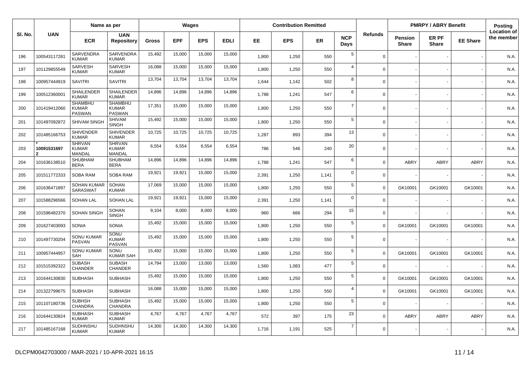|         |              | Name as per                                     |                                                 |              |            | Wages      |             |       | <b>Contribution Remitted</b> |           |                    |                |                                | <b>PMRPY / ABRY Benefit</b> |                 | Posting                          |
|---------|--------------|-------------------------------------------------|-------------------------------------------------|--------------|------------|------------|-------------|-------|------------------------------|-----------|--------------------|----------------|--------------------------------|-----------------------------|-----------------|----------------------------------|
| SI. No. | <b>UAN</b>   | <b>ECR</b>                                      | <b>UAN</b><br><b>Repository</b>                 | <b>Gross</b> | <b>EPF</b> | <b>EPS</b> | <b>EDLI</b> | EE.   | <b>EPS</b>                   | <b>ER</b> | <b>NCP</b><br>Days | <b>Refunds</b> | <b>Pension</b><br><b>Share</b> | ER PF<br><b>Share</b>       | <b>EE Share</b> | <b>Location of</b><br>the member |
| 196     | 100543117281 | <b>SARVENDRA</b><br><b>KUMAR</b>                | SARVENDRA<br><b>KUMAR</b>                       | 15,492       | 15,000     | 15,000     | 15,000      | 1,800 | 1,250                        | 550       | $5\phantom{.0}$    | $\overline{0}$ |                                |                             |                 | N.A.                             |
| 197     | 101129855549 | SARVESH<br><b>KUMAR</b>                         | SARVESH<br><b>KUMAR</b>                         | 16,088       | 15,000     | 15,000     | 15,000      | 1,800 | 1,250                        | 550       | $\overline{4}$     | $\mathbf 0$    |                                |                             |                 | N.A.                             |
| 198     | 100957444919 | <b>SAVITRI</b>                                  | <b>SAVITRI</b>                                  | 13,704       | 13,704     | 13,704     | 13,704      | 1,644 | 1,142                        | 502       | 8                  | $\mathbf 0$    |                                |                             |                 | N.A.                             |
| 199     | 100512360001 | <b>SHAILENDER</b><br><b>KUMAR</b>               | <b>SHAILENDER</b><br><b>KUMAR</b>               | 14,896       | 14,896     | 14,896     | 14,896      | 1,788 | 1,241                        | 547       | 6                  | $\mathbf 0$    |                                |                             |                 | N.A.                             |
| 200     | 101419412060 | <b>SHAMBHU</b><br><b>KUMAR</b><br><b>PASWAN</b> | <b>SHAMBHU</b><br><b>KUMAR</b><br><b>PASWAN</b> | 17,351       | 15,000     | 15,000     | 15,000      | 1,800 | 1,250                        | 550       | $\overline{7}$     | $\mathbf 0$    |                                |                             |                 | N.A.                             |
| 201     | 101497092872 | SHIVAM SINGH                                    | <b>SHIVAM</b><br><b>SINGH</b>                   | 15,492       | 15,000     | 15,000     | 15,000      | 1,800 | 1,250                        | 550       | 5                  | $\mathbf 0$    |                                |                             |                 | N.A.                             |
| 202     | 101485166753 | <b>SHIVENDER</b><br><b>KUMAR</b>                | <b>SHIVENDER</b><br><b>KUMAR</b>                | 10,725       | 10,725     | 10,725     | 10,725      | 1,287 | 893                          | 394       | 13                 | $\mathbf 0$    |                                |                             |                 | N.A.                             |
| 203     | 10091531697  | <b>SHRVAN</b><br><b>KUMAR</b><br>MANDAL         | <b>SHRVAN</b><br><b>KUMAR</b><br>MANDAL         | 6,554        | 6,554      | 6,554      | 6,554       | 786   | 546                          | 240       | 20                 | $\mathbf 0$    |                                |                             |                 | N.A.                             |
| 204     | 101636138510 | SHUBHAM<br><b>BERA</b>                          | <b>SHUBHAM</b><br><b>BERA</b>                   | 14,896       | 14,896     | 14,896     | 14,896      | 1,788 | 1,241                        | 547       | 6                  | $\mathbf 0$    | <b>ABRY</b>                    | ABRY                        | <b>ABRY</b>     | N.A.                             |
| 205     | 101511772333 | SOBA RAM                                        | <b>SOBA RAM</b>                                 | 19,921       | 19,921     | 15,000     | 15,000      | 2,391 | 1,250                        | 1,141     | $\mathbf 0$        | $\Omega$       |                                |                             |                 | N.A.                             |
| 206     | 101636471897 | SOHAN KUMAR<br>SARASWAT                         | <b>SOHAN</b><br><b>KUMAR</b>                    | 17,069       | 15,000     | 15,000     | 15,000      | 1.800 | 1,250                        | 550       | 5                  | $\mathbf 0$    | GK10001                        | GK10001                     | GK10001         | N.A.                             |
| 207     | 101588296566 | <b>SOHAN LAL</b>                                | <b>SOHAN LAL</b>                                | 19,921       | 19,921     | 15,000     | 15,000      | 2,391 | 1,250                        | 1,141     | $\mathbf 0$        | $\mathbf 0$    |                                |                             |                 | N.A.                             |
| 208     | 101596482370 | SOHAN SINGH                                     | <b>SOHAN</b><br><b>SINGH</b>                    | 9,104        | 8,000      | 8,000      | 8,000       | 960   | 666                          | 294       | 15                 | $\mathbf 0$    |                                |                             |                 | N.A.                             |
| 209     | 101627403093 | <b>SONIA</b>                                    | <b>SONIA</b>                                    | 15,492       | 15,000     | 15,000     | 15,000      | 1,800 | 1,250                        | 550       | 5                  | $\mathbf 0$    | GK10001                        | GK10001                     | GK10001         | N.A.                             |
| 210     | 101497730204 | <b>SONU KUMAR</b><br>PASVAN                     | SONU<br><b>KUMAR</b><br>PASVAN                  | 15,492       | 15,000     | 15,000     | 15,000      | 1,800 | 1,250                        | 550       | 5                  | $\mathbf 0$    |                                |                             |                 | N.A.                             |
| 211     | 100957444957 | <b>SONU KUMAR</b><br>SAH                        | SONU<br><b>KUMAR SAH</b>                        | 15,492       | 15,000     | 15,000     | 15,000      | 1,800 | 1,250                        | 550       | 5                  | $\mathbf 0$    | GK10001                        | GK10001                     | GK10001         | N.A.                             |
| 212     | 101515392322 | <b>SUBASH</b><br><b>CHANDER</b>                 | <b>SUBASH</b><br><b>CHANDER</b>                 | 14,794       | 13,000     | 13,000     | 13,000      | 1,560 | 1,083                        | 477       | 5                  | $\mathbf 0$    |                                |                             |                 | N.A.                             |
| 213     | 101644130830 | <b>SUBHASH</b>                                  | <b>SUBHASH</b>                                  | 15,492       | 15,000     | 15,000     | 15,000      | 1,800 | 1,250                        | 550       | 5                  | $\mathbf 0$    | GK10001                        | GK10001                     | GK10001         | N.A.                             |
| 214     | 101322799675 | <b>SUBHASH</b>                                  | <b>SUBHASH</b>                                  | 16,088       | 15,000     | 15,000     | 15,000      | 1,800 | 1,250                        | 550       | $\overline{4}$     | $\mathbf 0$    | GK10001                        | GK10001                     | GK10001         | N.A.                             |
| 215     | 101107180736 | <b>SUBHSH</b><br>CHANDRA                        | <b>SUBHASH</b><br><b>CHANDRA</b>                | 15,492       | 15,000     | 15,000     | 15,000      | 1,800 | 1,250                        | 550       | 5                  | $\mathbf 0$    |                                |                             |                 | N.A.                             |
| 216     | 101644130824 | <b>SUBHASH</b><br><b>KUMAR</b>                  | <b>SUBHASH</b><br><b>KUMAR</b>                  | 4,767        | 4,767      | 4,767      | 4,767       | 572   | 397                          | 175       | 23                 | $\mathbf 0$    | <b>ABRY</b>                    | ABRY                        | <b>ABRY</b>     | N.A.                             |
| 217     | 101485167168 | SUDHNSHU<br><b>KUMAR</b>                        | SUDHNSHU<br><b>KUMAR</b>                        | 14,300       | 14,300     | 14,300     | 14,300      | 1,716 | 1,191                        | 525       | $\overline{7}$     | $\mathbf 0$    |                                |                             |                 | N.A.                             |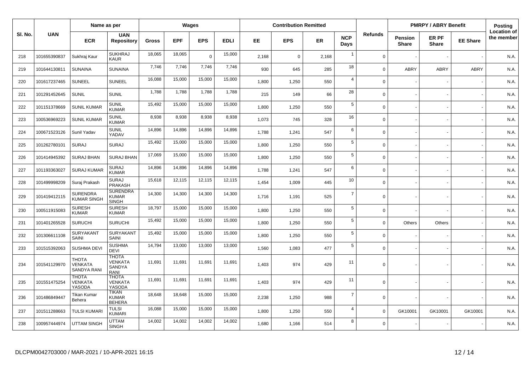|         |              | Name as per                                   |                                                         |        |            | Wages          |             |       | <b>Contribution Remitted</b> |       |                    |                |                         | <b>PMRPY / ABRY Benefit</b> |                 | Posting                          |
|---------|--------------|-----------------------------------------------|---------------------------------------------------------|--------|------------|----------------|-------------|-------|------------------------------|-------|--------------------|----------------|-------------------------|-----------------------------|-----------------|----------------------------------|
| SI. No. | <b>UAN</b>   | <b>ECR</b>                                    | <b>UAN</b><br><b>Repository</b>                         | Gross  | <b>EPF</b> | <b>EPS</b>     | <b>EDLI</b> | EE    | <b>EPS</b>                   | ER    | <b>NCP</b><br>Days | <b>Refunds</b> | Pension<br><b>Share</b> | ER PF<br><b>Share</b>       | <b>EE Share</b> | <b>Location of</b><br>the member |
| 218     | 101655390837 | Sukhraj Kaur                                  | <b>SUKHRAJ</b><br><b>KAUR</b>                           | 18,065 | 18,065     | $\overline{0}$ | 15,000      | 2,168 | $\Omega$                     | 2,168 | $\overline{1}$     | $\Omega$       |                         |                             |                 | N.A.                             |
| 219     | 101644130811 | <b>SUNAINA</b>                                | <b>SUNAINA</b>                                          | 7,746  | 7,746      | 7,746          | 7,746       | 930   | 645                          | 285   | 18                 | $\Omega$       | ABRY                    | <b>ABRY</b>                 | <b>ABRY</b>     | N.A.                             |
| 220     | 101617237465 | <b>SUNEEL</b>                                 | <b>SUNEEL</b>                                           | 16,088 | 15,000     | 15,000         | 15,000      | 1,800 | 1,250                        | 550   | $\overline{a}$     | $\Omega$       |                         |                             |                 | N.A.                             |
| 221     | 101291452645 | <b>SUNIL</b>                                  | <b>SUNIL</b>                                            | 1,788  | 1,788      | 1,788          | 1,788       | 215   | 149                          | 66    | 28                 | $\Omega$       |                         |                             |                 | N.A.                             |
| 222     | 101151378669 | <b>SUNIL KUMAR</b>                            | SUNIL<br><b>KUMAR</b>                                   | 15,492 | 15,000     | 15,000         | 15,000      | 1,800 | 1,250                        | 550   | $\overline{5}$     | $\mathbf 0$    |                         |                             |                 | N.A.                             |
| 223     | 100536969223 | <b>SUNIL KUMAR</b>                            | <b>SUNIL</b><br><b>KUMAR</b>                            | 8,938  | 8,938      | 8,938          | 8,938       | 1,073 | 745                          | 328   | 16                 | $\Omega$       |                         |                             |                 | N.A.                             |
| 224     | 100671523126 | Sunil Yadav                                   | <b>SUNIL</b><br>YADAV                                   | 14,896 | 14,896     | 14,896         | 14,896      | 1,788 | 1,241                        | 547   | 6                  | $\mathbf 0$    |                         |                             |                 | N.A.                             |
| 225     | 101262780101 | <b>SURAJ</b>                                  | <b>SURAJ</b>                                            | 15,492 | 15,000     | 15,000         | 15,000      | 1,800 | 1,250                        | 550   | $\sqrt{5}$         | $\Omega$       |                         |                             |                 | N.A.                             |
| 226     | 101414945392 | <b>SURAJ BHAN</b>                             | <b>SURAJ BHAN</b>                                       | 17,069 | 15,000     | 15,000         | 15,000      | 1,800 | 1,250                        | 550   | $\sqrt{5}$         | $\Omega$       |                         |                             |                 | N.A.                             |
| 227     | 101193363027 | <b>SURAJ KUMAR</b>                            | <b>SURAJ</b><br><b>KUMAR</b>                            | 14,896 | 14,896     | 14,896         | 14,896      | 1,788 | 1,241                        | 547   | 6                  | $\Omega$       |                         |                             |                 | N.A.                             |
| 228     | 101499998209 | Suraj Prakash                                 | <b>SURAJ</b><br>PRAKASH                                 | 15,618 | 12,115     | 12,115         | 12,115      | 1,454 | 1,009                        | 445   | 10                 | $\mathbf 0$    |                         |                             |                 | N.A.                             |
| 229     | 101419412115 | <b>SURENDRA</b><br><b>KUMAR SINGH</b>         | <b>SURENDRA</b><br><b>KUMAR</b><br><b>SINGH</b>         | 14,300 | 14,300     | 14,300         | 14,300      | 1,716 | 1,191                        | 525   | $\overline{7}$     | $\Omega$       |                         |                             |                 | N.A.                             |
| 230     | 100511915083 | <b>SURESH</b><br><b>KUMAR</b>                 | <b>SURESH</b><br><b>KUMAR</b>                           | 18,797 | 15,000     | 15,000         | 15,000      | 1,800 | 1,250                        | 550   | $\sqrt{5}$         | $\mathbf 0$    |                         |                             |                 | N.A.                             |
| 231     | 101401265528 | <b>SURUCHI</b>                                | <b>SURUCHI</b>                                          | 15,492 | 15,000     | 15,000         | 15,000      | 1,800 | 1,250                        | 550   | 5                  | $\mathbf 0$    | Others                  | Others                      |                 | N.A.                             |
| 232     | 101306611108 | <b>SURYAKANT</b><br><b>SAINI</b>              | <b>SURYAKANT</b><br><b>SAINI</b>                        | 15,492 | 15,000     | 15,000         | 15,000      | 1,800 | 1,250                        | 550   | 5                  | $\mathbf 0$    |                         |                             |                 | N.A.                             |
| 233     | 101515392063 | <b>SUSHMA DEVI</b>                            | <b>SUSHMA</b><br><b>DEVI</b>                            | 14,794 | 13,000     | 13,000         | 13,000      | 1,560 | 1,083                        | 477   | $5\phantom{.0}$    | $\mathbf 0$    |                         |                             |                 | N.A.                             |
| 234     | 101541129970 | <b>THOTA</b><br>VENKATA<br><b>SANDYA RANI</b> | <b>THOTA</b><br><b>VENKATA</b><br><b>SANDYA</b><br>RANI | 11,691 | 11,691     | 11,691         | 11,691      | 1,403 | 974                          | 429   | 11                 | $\Omega$       |                         |                             |                 | N.A.                             |
| 235     | 101551475254 | <b>THOTA</b><br>VENKATA<br>YASODA             | <b>THOTA</b><br>VENKATA<br>YASODA                       | 11,691 | 11,691     | 11,691         | 11,691      | 1,403 | 974                          | 429   | 11                 | $\Omega$       |                         |                             |                 | N.A.                             |
| 236     | 101486849447 | Tikan Kumar<br>Behera                         | <b>TIKAN</b><br><b>KUMAR</b><br><b>BEHERA</b>           | 18,648 | 18,648     | 15,000         | 15,000      | 2,238 | 1,250                        | 988   | $\overline{7}$     | $\Omega$       |                         |                             |                 | N.A.                             |
| 237     | 101511288663 | <b>TULSI KUMAR</b>                            | <b>TULSI</b><br><b>KUMARI</b>                           | 16,088 | 15,000     | 15,000         | 15,000      | 1,800 | 1,250                        | 550   | 4                  | $\mathbf 0$    | GK10001                 | GK10001                     | GK10001         | N.A.                             |
| 238     | 100957444974 | <b>UTTAM SINGH</b>                            | <b>UTTAM</b><br><b>SINGH</b>                            | 14,002 | 14,002     | 14,002         | 14,002      | 1,680 | 1,166                        | 514   | 8                  | $\Omega$       |                         |                             |                 | N.A.                             |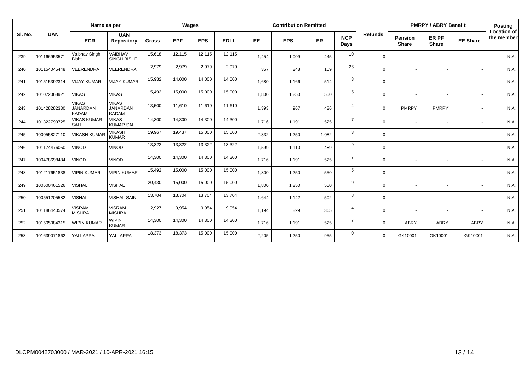|         | <b>UAN</b>   | Name as per                                     |                                                 | Wages        |            |            |             | <b>Contribution Remitted</b> |            |       |                    |                | <b>PMRPY / ABRY Benefit</b>    |                       |                 | Posting                          |
|---------|--------------|-------------------------------------------------|-------------------------------------------------|--------------|------------|------------|-------------|------------------------------|------------|-------|--------------------|----------------|--------------------------------|-----------------------|-----------------|----------------------------------|
| SI. No. |              | <b>ECR</b>                                      | <b>UAN</b><br><b>Repository</b>                 | <b>Gross</b> | <b>EPF</b> | <b>EPS</b> | <b>EDLI</b> | <b>EE</b>                    | <b>EPS</b> | ER    | <b>NCP</b><br>Days | <b>Refunds</b> | <b>Pension</b><br><b>Share</b> | ER PF<br><b>Share</b> | <b>EE Share</b> | <b>Location of</b><br>the member |
| 239     | 101166953571 | Vaibhav Singh<br><b>Bisht</b>                   | VAIBHAV<br><b>SINGH BISHT</b>                   | 15,618       | 12,115     | 12,115     | 12,115      | 1,454                        | 1,009      | 445   | 10                 | $\Omega$       |                                |                       |                 | N.A.                             |
| 240     | 101154045448 | VEERENDRA                                       | <b>VEERENDRA</b>                                | 2,979        | 2,979      | 2,979      | 2,979       | 357                          | 248        | 109   | 26                 | $\Omega$       |                                |                       |                 | N.A.                             |
| 241     | 101515392314 | <b>VIJAY KUMAR</b>                              | <b>VIJAY KUMAR</b>                              | 15,932       | 14,000     | 14,000     | 14,000      | 1.680                        | 1,166      | 514   | 3                  | $\Omega$       |                                |                       |                 | N.A.                             |
| 242     | 101072068921 | <b>VIKAS</b>                                    | <b>VIKAS</b>                                    | 15,492       | 15,000     | 15,000     | 15,000      | 1,800                        | 1,250      | 550   | 5                  | $\Omega$       |                                |                       |                 | N.A.                             |
| 243     | 101428282330 | <b>VIKAS</b><br><b>JANARDAN</b><br><b>KADAM</b> | <b>VIKAS</b><br><b>JANARDAN</b><br><b>KADAM</b> | 13,500       | 11,610     | 11,610     | 11,610      | 1,393                        | 967        | 426   | $\overline{4}$     | $\Omega$       | PMRPY                          | PMRPY                 |                 | N.A.                             |
| 244     | 101322799725 | <b>VIKAS KUMAR</b><br>SAH                       | <b>VIKAS</b><br><b>KUMAR SAH</b>                | 14,300       | 14,300     | 14,300     | 14,300      | 1,716                        | 1,191      | 525   | $\overline{7}$     | $\Omega$       |                                |                       |                 | N.A.                             |
| 245     | 100055827110 | <b>VIKASH KUMAR</b>                             | <b>VIKASH</b><br><b>KUMAR</b>                   | 19,967       | 19,437     | 15,000     | 15,000      | 2,332                        | 1,250      | 1,082 | 3                  | $\Omega$       |                                |                       |                 | N.A.                             |
| 246     | 101174476050 | <b>VINOD</b>                                    | <b>VINOD</b>                                    | 13,322       | 13,322     | 13,322     | 13,322      | 1,599                        | 1,110      | 489   | 9                  | $\Omega$       |                                |                       |                 | N.A.                             |
| 247     | 100478698484 | <b>VINOD</b>                                    | <b>VINOD</b>                                    | 14,300       | 14,300     | 14,300     | 14,300      | 1,716                        | 1,191      | 525   | $\overline{7}$     | $\Omega$       |                                |                       |                 | N.A.                             |
| 248     | 101217651838 | <b>VIPIN KUMAR</b>                              | <b>VIPIN KUMAR</b>                              | 15,492       | 15,000     | 15,000     | 15,000      | 1,800                        | 1,250      | 550   | 5                  | $\Omega$       |                                |                       |                 | N.A.                             |
| 249     | 100600461526 | <b>VISHAL</b>                                   | <b>VISHAL</b>                                   | 20,430       | 15,000     | 15,000     | 15,000      | 1.800                        | 1,250      | 550   | 9                  | $\Omega$       |                                |                       |                 | N.A.                             |
| 250     | 100551205582 | <b>VISHAL</b>                                   | <b>VISHAL SAINI</b>                             | 13,704       | 13,704     | 13,704     | 13,704      | 1,644                        | 1,142      | 502   | 8                  | $\Omega$       |                                |                       |                 | N.A.                             |
| 251     | 101186440574 | <b>VISRAM</b><br><b>MISHRA</b>                  | <b>VISRAM</b><br><b>MISHRA</b>                  | 12,927       | 9,954      | 9,954      | 9,954       | 1,194                        | 829        | 365   | $\overline{4}$     | $\Omega$       |                                |                       |                 | N.A.                             |
| 252     | 101505084315 | <b>WIPIN KUMAR</b>                              | <b>WIPIN</b><br><b>KUMAR</b>                    | 14,300       | 14,300     | 14,300     | 14,300      | 1,716                        | 1,191      | 525   | $\overline{7}$     | $\Omega$       | ABRY                           | <b>ABRY</b>           | <b>ABRY</b>     | N.A.                             |
| 253     | 101639071862 | YALLAPPA                                        | YALLAPPA                                        | 18,373       | 18,373     | 15,000     | 15,000      | 2,205                        | 1,250      | 955   | $\mathbf 0$        | $\Omega$       | GK10001                        | GK10001               | GK10001         | N.A.                             |